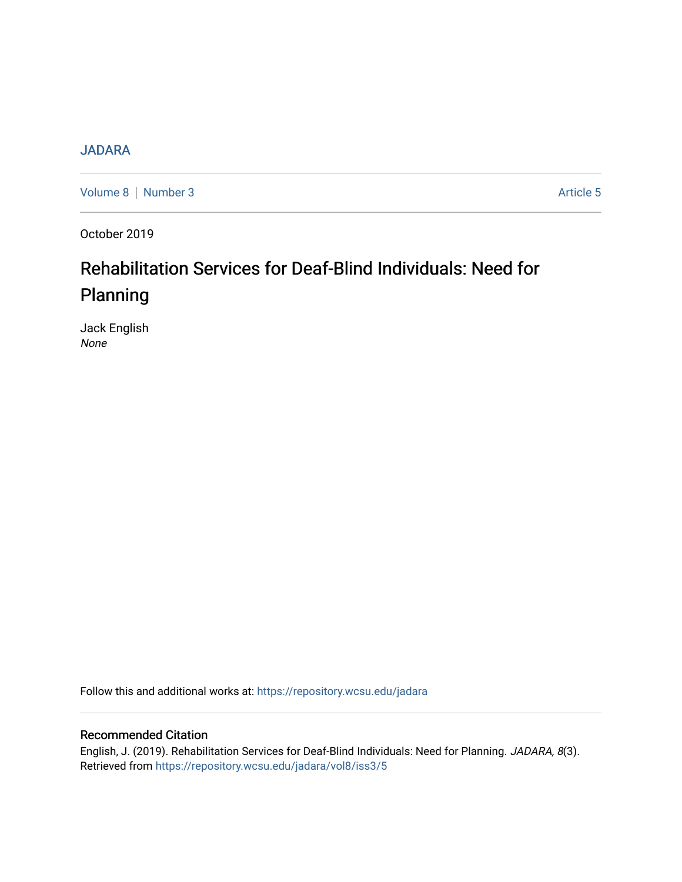## [JADARA](https://repository.wcsu.edu/jadara)

[Volume 8](https://repository.wcsu.edu/jadara/vol8) | [Number 3](https://repository.wcsu.edu/jadara/vol8/iss3) Article 5

October 2019

# Rehabilitation Services for Deaf-Blind Individuals: Need for Planning

Jack English None

Follow this and additional works at: [https://repository.wcsu.edu/jadara](https://repository.wcsu.edu/jadara?utm_source=repository.wcsu.edu%2Fjadara%2Fvol8%2Fiss3%2F5&utm_medium=PDF&utm_campaign=PDFCoverPages)

### Recommended Citation

English, J. (2019). Rehabilitation Services for Deaf-Blind Individuals: Need for Planning. JADARA, 8(3). Retrieved from [https://repository.wcsu.edu/jadara/vol8/iss3/5](https://repository.wcsu.edu/jadara/vol8/iss3/5?utm_source=repository.wcsu.edu%2Fjadara%2Fvol8%2Fiss3%2F5&utm_medium=PDF&utm_campaign=PDFCoverPages)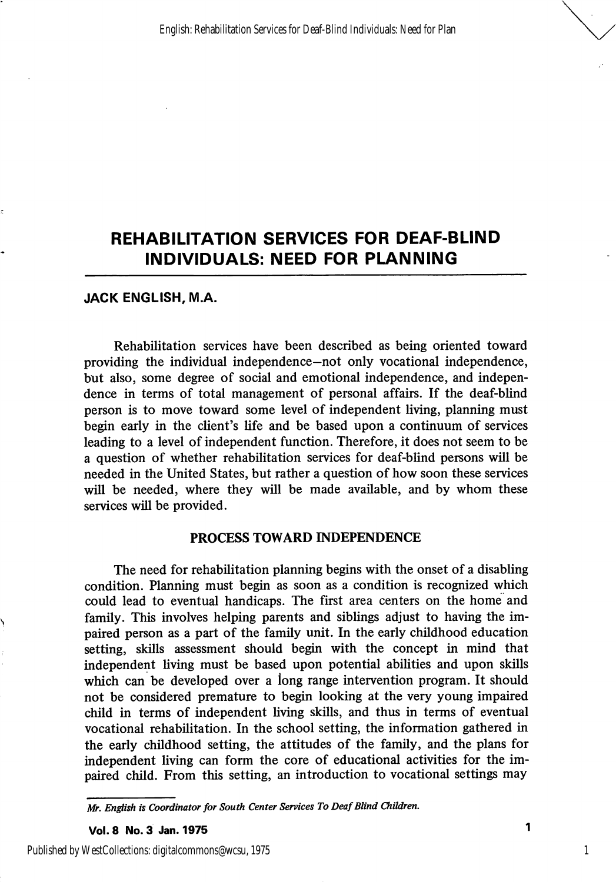# REHABILITATION SERVICES FOR DEAF-BLIND INDIVIDUALS: NEED FOR PLANNING

#### JACK ENGLISH, M.A.

Rehabilitation services have been described as being oriented toward providing the individual independence—not only vocational independence, but also, some degree of social and emotional independence, and indepen dence in terms of total management of personal affairs. If the deaf-blind person is to move toward some level of independent living, planning must begin early in the client's life and be based upon a continuum of services leading to a level of independent function. Therefore, it does not seem to be a question of whether rehabilitation services for deaf-blind persons will be needed in the United States, but rather a question of how soon these services will be needed, where they will be made available, and by whom these services will be provided.

#### PROCESS TOWARD INDEPENDENCE

The need for rehabilitation planning begins with the onset of a disabling condition. Planning must begin as soon as a condition is recognized which could lead to eventual handicaps. The first area centers on the home and family. This involves helping parents and siblings adjust to having the im paired person as a part of the family unit. In the early childhood education setting, skills assessment should begin with the concept in mind that independent living must be based upon potential abilities and upon skills which can be developed over a long range intervention program. It should not be considered premature to begin looking at the very young impaired child in terms of independent living skills, and thus in terms of eventual vocational rehabilitation. In the school setting, the information gathered in the early childhood setting, the attitudes of the family, and the plans for independent living can form the core of educational activities for the im paired child. From this setting, an introduction to vocational settings may

Vol. 8 No. 3 Jan. 1975

1

Published by WestCollections: digitalcommons@wcsu, 1975

Mr. English is Coordinator for South Center Services To Deaf Blind Children.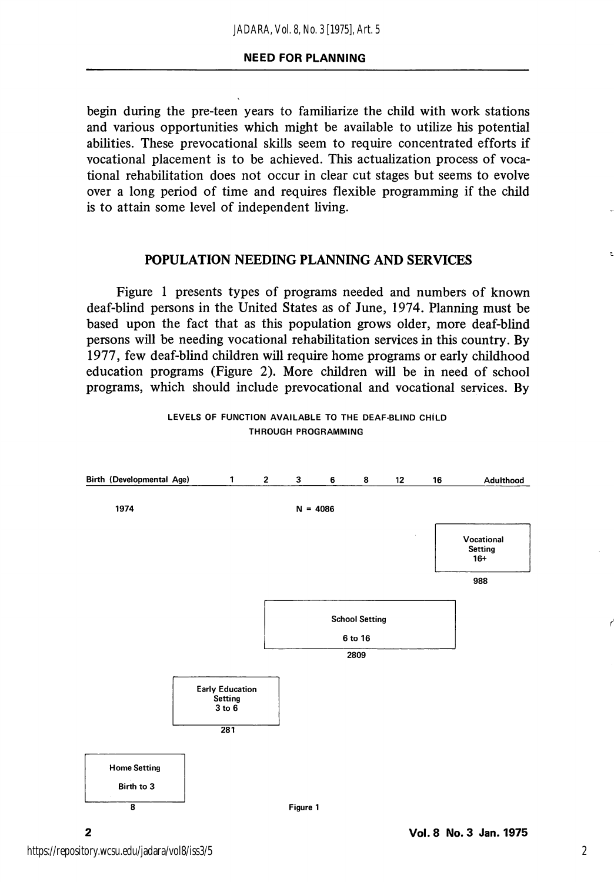begin during the pre-teen years to familiarize the child with work stations and various opportunities which might be available to utilize his potential abilities. These prevocational skills seem to require concentrated efforts if vocational placement is to be achieved. This actualization process of voca tional rehabilitation does not occur in clear cut stages but seems to evolve over a long period of time and requires flexible programming if the child is to attain some level of independent living.

#### POPULATION NEEDING PLANNING AND SERVICES

Figure 1 presents types of programs needed and numbers of known deaf-blind persons in the United States as of June, 1974. Planning must be based upon the fact that as this population grows older, more deaf-blind persons will be needing vocational rehabilitation services in this country. By 1977, few deaf-blind children will require home programs or early childhood education programs (Figure 2). More children will be in need of school programs, which should include prevocational and vocational services. By



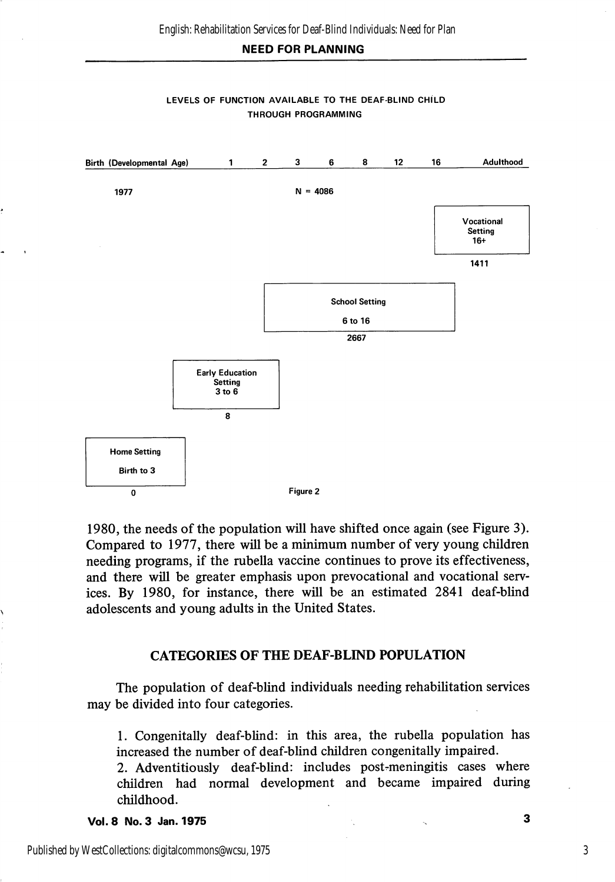#### NEED FOR PLANNING



#### LEVELS OF FUNCTION AVAILABLE TO THE DEAF-BLIND CHILD THROUGH PROGRAMMING

1980, the needs of the population will have shifted once again (see Figure 3). Compared to 1977, there will be a minimum number of very young children needing programs, if the rubella vaccine continues to prove its effectiveness, and there will be greater emphasis upon prevocational and vocational serv ices. By 1980, for instance, there will be an estimated 2841 deaf-blind adolescents and young adults in the United States.

#### CATEGORIES OF THE DEAF-BLIND POPULATION

The population of deaf-blind individuals needing rehabilitation services may be divided into four categories.

1. Congenitally deaf-blind: in this area, the rubella population has increased the number of deaf-blind children congenitally impaired.

2. Adventitiously deaf-blind: includes post-meningitis cases where children had normal development and became impaired during childhood.

Vol. 8 No. 3 Jan. 1975 3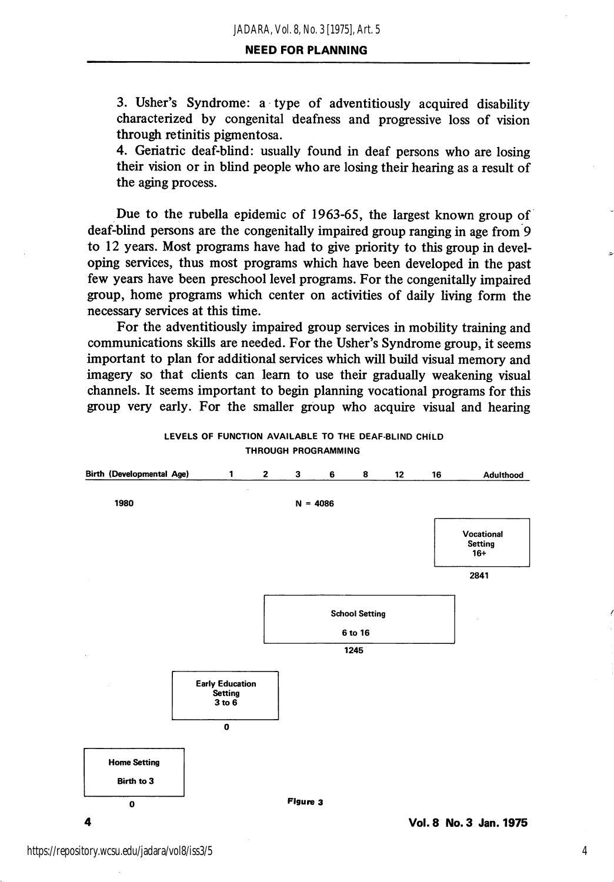#### NEED FOR PLANNING

3. Usher's Syndrome: a type of adventitiously acquired disability characterized by congenital deafness and progressive loss of vision through retinitis pigmentosa.

4. Geriatric deaf-blind: usually found in deaf persons who are losing their vision or in blind people who are losing their hearing as a result of the aging process.

Due to the rubella epidemic of 1963-65, the largest known group of deaf-blind persons are the congenitally impaired group ranging in age from 9 to 12 years. Most programs have had to give priority to this group in devel oping services, thus most programs which have been developed in the past few years have been preschool level programs. For the congenitally impaired group, home programs which center on activities of daily living form the necessary services at this time.

For the adventitiously impaired group services in mobility training and communications skills are needed. For the Usher's Syndrome group, it seems important to plan for additional services which will build visual memory and imagery so that clients can learn to use their gradually weakening visual channels. It seems important to begin planning vocational programs for this group very early. For the smaller group who acquire visual and hearing



#### LEVELS OF FUNCTION AVAILABLE TO THE DEAF-BLIND CHILD THROUGH PROGRAMMING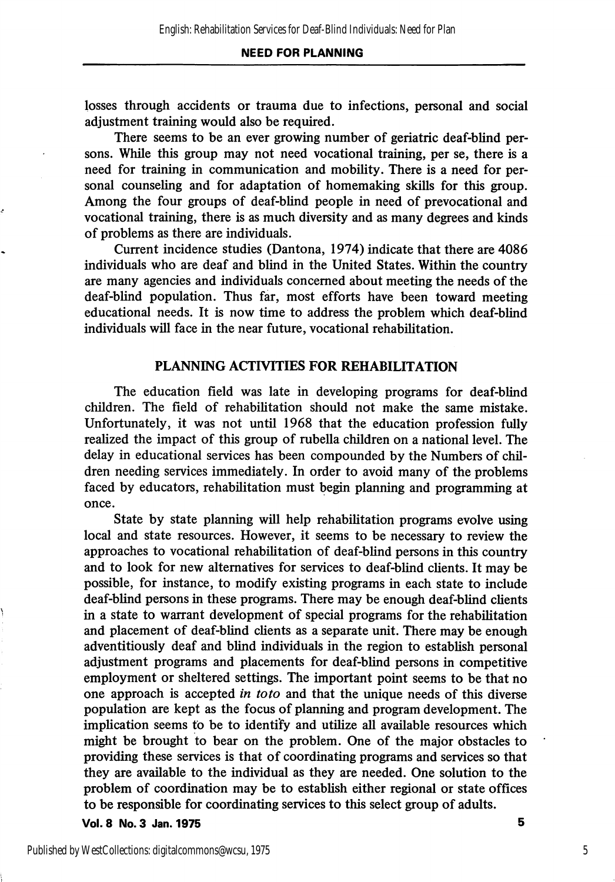#### NEED FOR PLANNING

losses through accidents or trauma due to infections, personal and social adjustment training would also be required.

There seems to be an ever growing number of geriatric deaf-blind per sons. While this group may not need vocational training, per se, there is a need for training in communication and mobility. There is a need for per sonal counseling and for adaptation of homemaking skills for this group. Among the four groups of deaf-blind people in need of prevocational and vocational training, there is as much diversity and as many degrees and kinds of problems as there are individuals.

Current incidence studies (Dantona, 1974) indicate that there are 4086 individuals who are deaf and blind in the United States. Within the country are many agencies and individuals concerned about meeting the needs of the deaf-blind population. Thus far, most efforts have been toward meeting educational needs. It is now time to address the problem which deaf-blind individuals wiU face in the near future, vocational rehabilitation.

#### PLANNING ACTIVITIES FOR REHABILITATION

The education field was late in developing programs for deaf-blind children. The field of rehabilitation should not make the same mistake. Unfortunately, it was not until 1968 that the education profession fully realized the impact of this group of rubella children on a national level. The delay in educational services has been compounded by the Numbers of chil dren needing services immediately. In order to avoid many of the problems faced by educators, rehabilitation must begin planning and programming at once.

State by state planning will help rehabilitation programs evolve using local and state resources. However, it seems to be necessary to review the approaches to vocational rehabilitation of deaf-blind persons in this country and to look for new alternatives for services to deaf-blind clients. It may be possible, for instance, to modify existing programs in each state to include deaf-blind persons in these programs. There may be enough deaf-blind clients in a state to warrant development of special programs for the rehabilitation and placement of deaf-blind clients as a separate unit. There may be enough adventitiously deaf and blind individuals in the region to establish personal adjustment programs and placements for deaf-blind persons in competitive employment or sheltered settings. The important point seems to be that no one approach is accepted in toto and that the unique needs of this diverse population are kept as the focus of planning and program development. The implication seems to be to identify and utilize all available resources which might be brought to bear on the problem. One of the major obstacles to providing these services is that of coordinating programs and services so that they are available to the individual as they are needed. One solution to the problem of coordination may be to establish either regional or state offices to be responsible for coordinating services to this select group of adults.

Vol. 8 No. 3 Jan. 1975 5